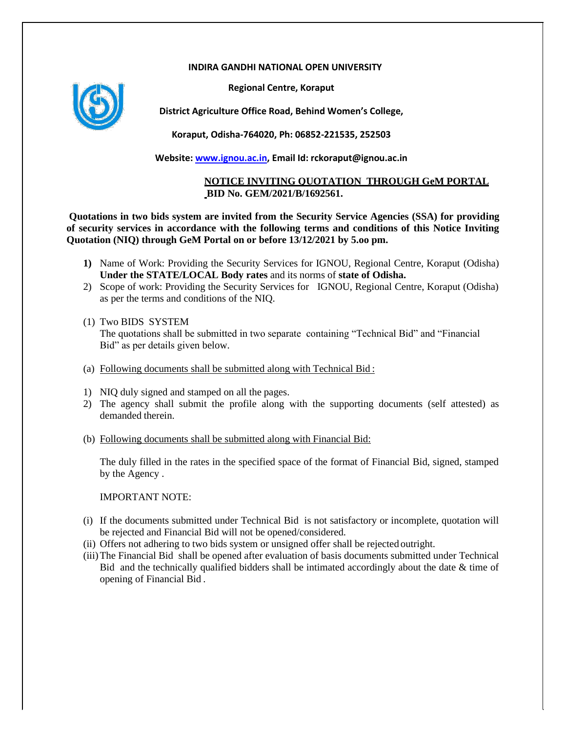## **INDIRA GANDHI NATIONAL OPEN UNIVERSITY**

**Regional Centre, Koraput**



**District Agriculture Office Road, Behind Women's College,**

**Koraput, Odisha-764020, Ph: 06852-221535, 252503**

**Website: [www.ignou.ac.in,](http://www.ignou.ac.in/) Email Id: rckoraput@ignou.ac.in**

## **NOTICE INVITING QUOTATION THROUGH GeM PORTAL BID No. GEM/2021/B/1692561.**

**Quotations in two bids system are invited from the Security Service Agencies (SSA) for providing of security services in accordance with the following terms and conditions of this Notice Inviting Quotation (NIQ) through GeM Portal on or before 13/12/2021 by 5.oo pm.**

- **1)** Name of Work: Providing the Security Services for IGNOU, Regional Centre, Koraput (Odisha) **Under the STATE/LOCAL Body rates** and its norms of **state of Odisha.**
- 2) Scope of work: Providing the Security Services for IGNOU, Regional Centre, Koraput (Odisha) as per the terms and conditions of the NIQ.
- (1) Two BIDS SYSTEM The quotations shall be submitted in two separate containing "Technical Bid" and "Financial Bid" as per details given below.
- (a) Following documents shall be submitted along with Technical Bid :
- 1) NIQ duly signed and stamped on all the pages.
- 2) The agency shall submit the profile along with the supporting documents (self attested) as demanded therein.
- (b) Following documents shall be submitted along with Financial Bid:

The duly filled in the rates in the specified space of the format of Financial Bid, signed, stamped by the Agency .

IMPORTANT NOTE:

- (i) If the documents submitted under Technical Bid is not satisfactory or incomplete, quotation will be rejected and Financial Bid will not be opened/considered.
- (ii) Offers not adhering to two bids system or unsigned offer shall be rejected outright.
- (iii)The Financial Bid shall be opened after evaluation of basis documents submitted under Technical Bid and the technically qualified bidders shall be intimated accordingly about the date & time of opening of Financial Bid .